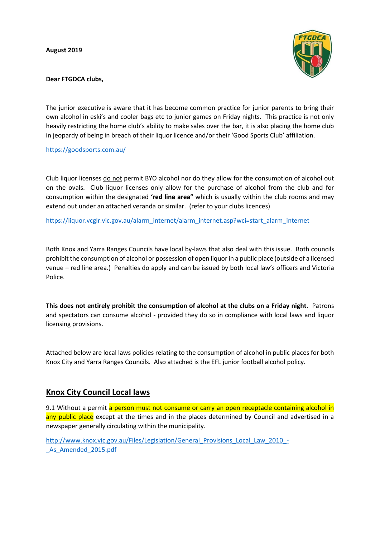**August 2019**



**Dear FTGDCA clubs,**

The junior executive is aware that it has become common practice for junior parents to bring their own alcohol in eski's and cooler bags etc to junior games on Friday nights. This practice is not only heavily restricting the home club's ability to make sales over the bar, it is also placing the home club in jeopardy of being in breach of their liquor licence and/or their 'Good Sports Club' affiliation.

<https://goodsports.com.au/>

Club liquor licenses do not permit BYO alcohol nor do they allow for the consumption of alcohol out on the ovals. Club liquor licenses only allow for the purchase of alcohol from the club and for consumption within the designated **'red line area"** which is usually within the club rooms and may extend out under an attached veranda or similar. (refer to your clubs licences)

[https://liquor.vcglr.vic.gov.au/alarm\\_internet/alarm\\_internet.asp?wci=start\\_alarm\\_internet](https://liquor.vcglr.vic.gov.au/alarm_internet/alarm_internet.asp?wci=start_alarm_internet)

Both Knox and Yarra Ranges Councils have local by-laws that also deal with this issue. Both councils prohibit the consumption of alcohol or possession of open liquor in a public place (outside of a licensed venue – red line area.) Penalties do apply and can be issued by both local law's officers and Victoria Police.

**This does not entirely prohibit the consumption of alcohol at the clubs on a Friday night**. Patrons and spectators can consume alcohol - provided they do so in compliance with local laws and liquor licensing provisions.

Attached below are local laws policies relating to the consumption of alcohol in public places for both Knox City and Yarra Ranges Councils. Also attached is the EFL junior football alcohol policy.

## **Knox City Council Local laws**

9.1 Without a permit a person must not consume or carry an open receptacle containing alcohol in any public place except at the times and in the places determined by Council and advertised in a newspaper generally circulating within the municipality.

[http://www.knox.vic.gov.au/Files/Legislation/General\\_Provisions\\_Local\\_Law\\_2010\\_-](http://www.knox.vic.gov.au/Files/Legislation/General_Provisions_Local_Law_2010_-_As_Amended_2015.pdf) As Amended 2015.pdf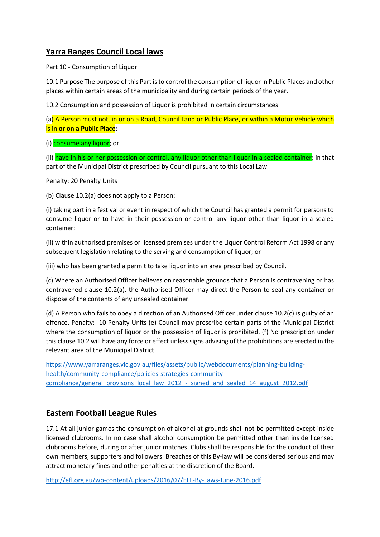## **Yarra Ranges Council Local laws**

Part 10 - Consumption of Liquor

10.1 Purpose The purpose of this Part is to control the consumption of liquor in Public Places and other places within certain areas of the municipality and during certain periods of the year.

10.2 Consumption and possession of Liquor is prohibited in certain circumstances

(a) A Person must not, in or on a Road, Council Land or Public Place, or within a Motor Vehicle which is in **or on a Public Place**:

(i) consume any liquor; or

(ii) have in his or her possession or control, any liquor other than liquor in a sealed container; in that part of the Municipal District prescribed by Council pursuant to this Local Law.

Penalty: 20 Penalty Units

(b) Clause 10.2(a) does not apply to a Person:

(i) taking part in a festival or event in respect of which the Council has granted a permit for persons to consume liquor or to have in their possession or control any liquor other than liquor in a sealed container;

(ii) within authorised premises or licensed premises under the Liquor Control Reform Act 1998 or any subsequent legislation relating to the serving and consumption of liquor; or

(iii) who has been granted a permit to take liquor into an area prescribed by Council.

(c) Where an Authorised Officer believes on reasonable grounds that a Person is contravening or has contravened clause 10.2(a), the Authorised Officer may direct the Person to seal any container or dispose of the contents of any unsealed container.

(d) A Person who fails to obey a direction of an Authorised Officer under clause 10.2(c) is guilty of an offence. Penalty: 10 Penalty Units (e) Council may prescribe certain parts of the Municipal District where the consumption of liquor or the possession of liquor is prohibited. (f) No prescription under this clause 10.2 will have any force or effect unless signs advising of the prohibitions are erected in the relevant area of the Municipal District.

[https://www.yarraranges.vic.gov.au/files/assets/public/webdocuments/planning-building](https://www.yarraranges.vic.gov.au/files/assets/public/webdocuments/planning-building-health/community-compliance/policies-strategies-community-compliance/general_provisons_local_law_2012_-_signed_and_sealed_14_august_2012.pdf)[health/community-compliance/policies-strategies-community](https://www.yarraranges.vic.gov.au/files/assets/public/webdocuments/planning-building-health/community-compliance/policies-strategies-community-compliance/general_provisons_local_law_2012_-_signed_and_sealed_14_august_2012.pdf)[compliance/general\\_provisons\\_local\\_law\\_2012\\_-\\_signed\\_and\\_sealed\\_14\\_august\\_2012.pdf](https://www.yarraranges.vic.gov.au/files/assets/public/webdocuments/planning-building-health/community-compliance/policies-strategies-community-compliance/general_provisons_local_law_2012_-_signed_and_sealed_14_august_2012.pdf)

## **Eastern Football League Rules**

17.1 At all junior games the consumption of alcohol at grounds shall not be permitted except inside licensed clubrooms. In no case shall alcohol consumption be permitted other than inside licensed clubrooms before, during or after junior matches. Clubs shall be responsible for the conduct of their own members, supporters and followers. Breaches of this By-law will be considered serious and may attract monetary fines and other penalties at the discretion of the Board.

<http://efl.org.au/wp-content/uploads/2016/07/EFL-By-Laws-June-2016.pdf>